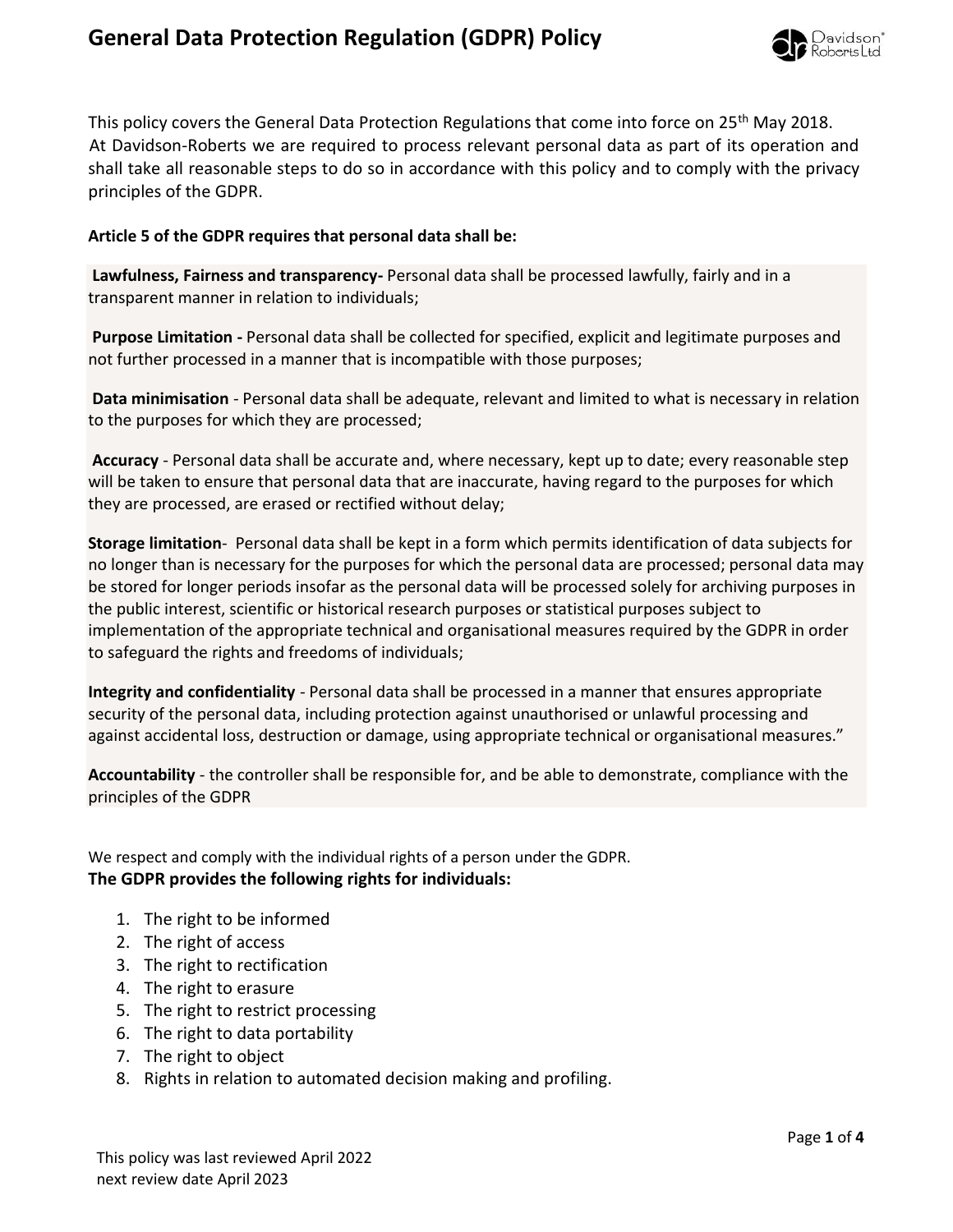## **General Data Protection Regulation (GDPR) Policy**



This policy covers the General Data Protection Regulations that come into force on 25<sup>th</sup> May 2018. At Davidson-Roberts we are required to process relevant personal data as part of its operation and shall take all reasonable steps to do so in accordance with this policy and to comply with the privacy principles of the GDPR.

## **Article 5 of the GDPR requires that personal data shall be:**

**Lawfulness, Fairness and transparency-** Personal data shall be processed lawfully, fairly and in a transparent manner in relation to individuals;

**Purpose Limitation -** Personal data shall be collected for specified, explicit and legitimate purposes and not further processed in a manner that is incompatible with those purposes;

**Data minimisation** - Personal data shall be adequate, relevant and limited to what is necessary in relation to the purposes for which they are processed;

**Accuracy** - Personal data shall be accurate and, where necessary, kept up to date; every reasonable step will be taken to ensure that personal data that are inaccurate, having regard to the purposes for which they are processed, are erased or rectified without delay;

**Storage limitation**- Personal data shall be kept in a form which permits identification of data subjects for no longer than is necessary for the purposes for which the personal data are processed; personal data may be stored for longer periods insofar as the personal data will be processed solely for archiving purposes in the public interest, scientific or historical research purposes or statistical purposes subject to implementation of the appropriate technical and organisational measures required by the GDPR in order to safeguard the rights and freedoms of individuals;

**Integrity and confidentiality** - Personal data shall be processed in a manner that ensures appropriate security of the personal data, including protection against unauthorised or unlawful processing and against accidental loss, destruction or damage, using appropriate technical or organisational measures."

**Accountability** - the controller shall be responsible for, and be able to demonstrate, compliance with the principles of the GDPR

We respect and comply with the individual rights of a person under the GDPR. **The GDPR provides the following rights for individuals:**

- 1. The right to be informed
- 2. The right of access
- 3. The right to rectification
- 4. The right to erasure
- 5. The right to restrict processing
- 6. The right to data portability
- 7. The right to object
- 8. Rights in relation to automated decision making and profiling.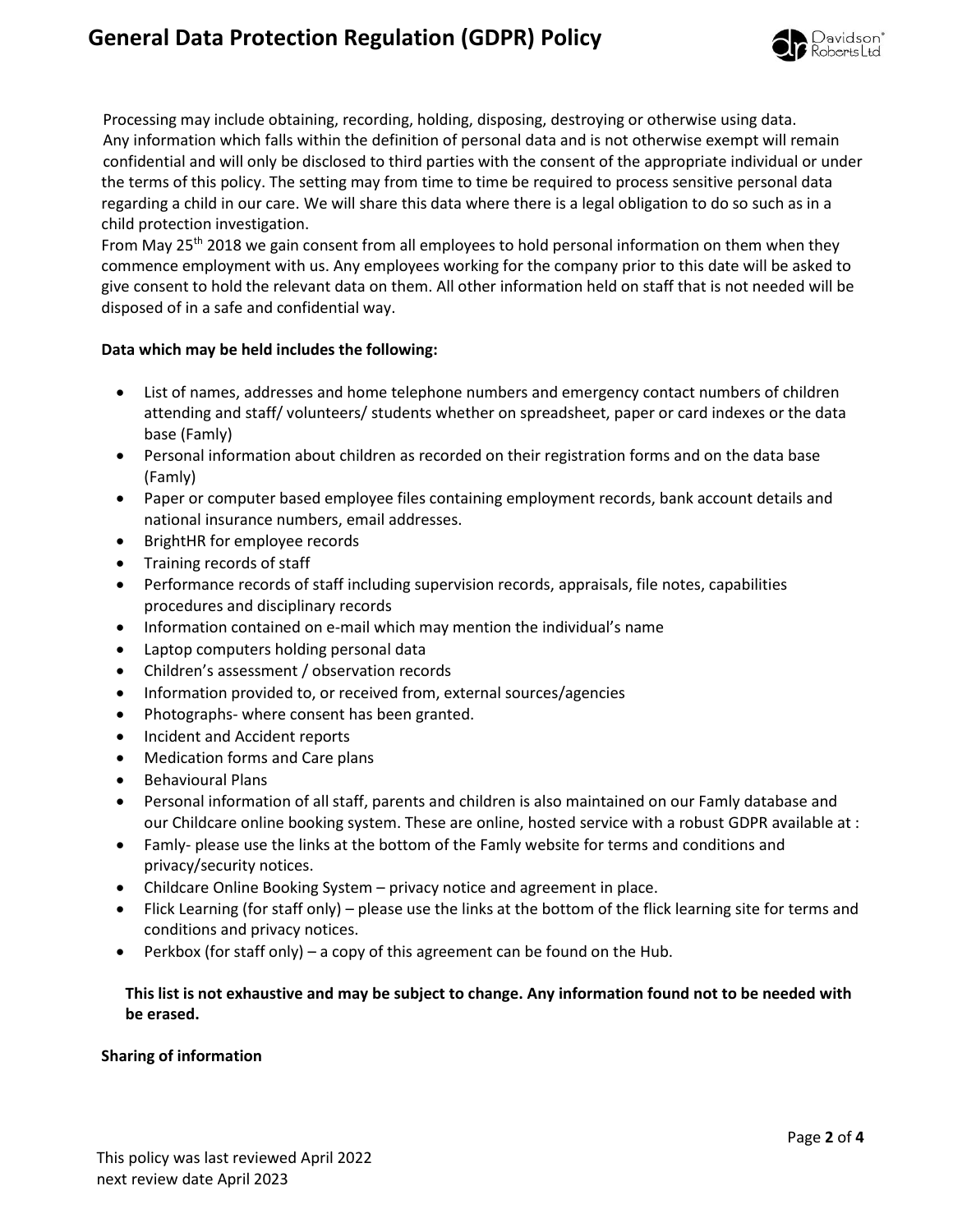# **General Data Protection Regulation (GDPR) Policy**



 Processing may include obtaining, recording, holding, disposing, destroying or otherwise using data. Any information which falls within the definition of personal data and is not otherwise exempt will remain confidential and will only be disclosed to third parties with the consent of the appropriate individual or under the terms of this policy. The setting may from time to time be required to process sensitive personal data regarding a child in our care. We will share this data where there is a legal obligation to do so such as in a child protection investigation.

From May 25<sup>th</sup> 2018 we gain consent from all employees to hold personal information on them when they commence employment with us. Any employees working for the company prior to this date will be asked to give consent to hold the relevant data on them. All other information held on staff that is not needed will be disposed of in a safe and confidential way.

## **Data which may be held includes the following:**

- List of names, addresses and home telephone numbers and emergency contact numbers of children attending and staff/ volunteers/ students whether on spreadsheet, paper or card indexes or the data base (Famly)
- Personal information about children as recorded on their registration forms and on the data base (Famly)
- Paper or computer based employee files containing employment records, bank account details and national insurance numbers, email addresses.
- BrightHR for employee records
- Training records of staff
- Performance records of staff including supervision records, appraisals, file notes, capabilities procedures and disciplinary records
- Information contained on e-mail which may mention the individual's name
- Laptop computers holding personal data
- Children's assessment / observation records
- Information provided to, or received from, external sources/agencies
- Photographs- where consent has been granted.
- Incident and Accident reports
- Medication forms and Care plans
- Behavioural Plans
- Personal information of all staff, parents and children is also maintained on our Famly database and our Childcare online booking system. These are online, hosted service with a robust GDPR available at :
- Famly- please use the links at the bottom of the Famly website for terms and conditions and privacy/security notices.
- Childcare Online Booking System privacy notice and agreement in place.
- Flick Learning (for staff only) please use the links at the bottom of the flick learning site for terms and conditions and privacy notices.
- Perkbox (for staff only) a copy of this agreement can be found on the Hub.

## **This list is not exhaustive and may be subject to change. Any information found not to be needed with be erased.**

#### **Sharing of information**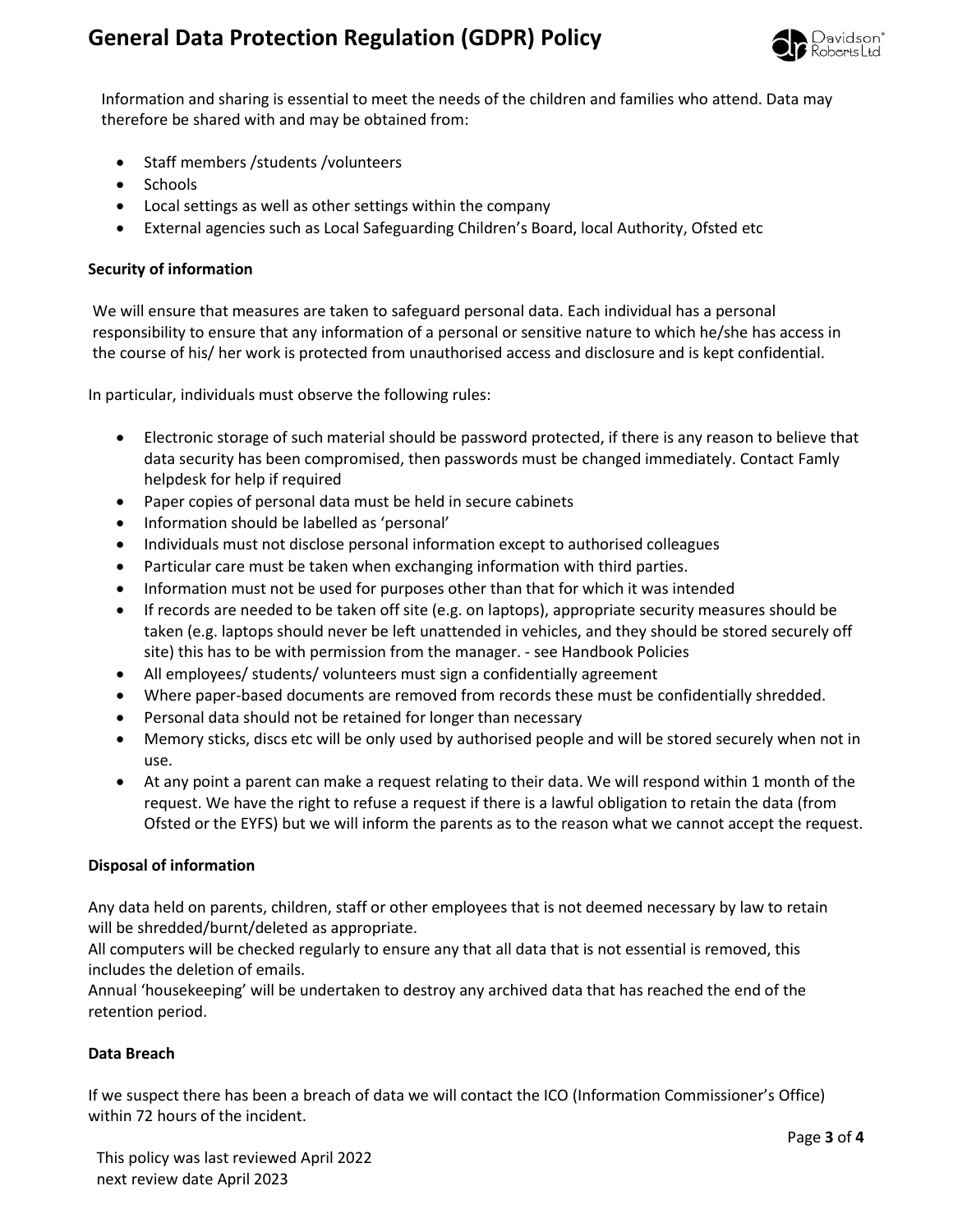

Information and sharing is essential to meet the needs of the children and families who attend. Data may therefore be shared with and may be obtained from:

- Staff members /students /volunteers
- Schools
- Local settings as well as other settings within the company
- External agencies such as Local Safeguarding Children's Board, local Authority, Ofsted etc

## **Security of information**

We will ensure that measures are taken to safeguard personal data. Each individual has a personal responsibility to ensure that any information of a personal or sensitive nature to which he/she has access in the course of his/ her work is protected from unauthorised access and disclosure and is kept confidential.

In particular, individuals must observe the following rules:

- Electronic storage of such material should be password protected, if there is any reason to believe that data security has been compromised, then passwords must be changed immediately. Contact Famly helpdesk for help if required
- Paper copies of personal data must be held in secure cabinets
- Information should be labelled as 'personal'
- Individuals must not disclose personal information except to authorised colleagues
- Particular care must be taken when exchanging information with third parties.
- Information must not be used for purposes other than that for which it was intended
- If records are needed to be taken off site (e.g. on laptops), appropriate security measures should be taken (e.g. laptops should never be left unattended in vehicles, and they should be stored securely off site) this has to be with permission from the manager. - see Handbook Policies
- All employees/ students/ volunteers must sign a confidentially agreement
- Where paper-based documents are removed from records these must be confidentially shredded.
- Personal data should not be retained for longer than necessary
- Memory sticks, discs etc will be only used by authorised people and will be stored securely when not in use.
- At any point a parent can make a request relating to their data. We will respond within 1 month of the request. We have the right to refuse a request if there is a lawful obligation to retain the data (from Ofsted or the EYFS) but we will inform the parents as to the reason what we cannot accept the request.

#### **Disposal of information**

Any data held on parents, children, staff or other employees that is not deemed necessary by law to retain will be shredded/burnt/deleted as appropriate.

All computers will be checked regularly to ensure any that all data that is not essential is removed, this includes the deletion of emails.

Annual 'housekeeping' will be undertaken to destroy any archived data that has reached the end of the retention period.

#### **Data Breach**

If we suspect there has been a breach of data we will contact the ICO (Information Commissioner's Office) within 72 hours of the incident.